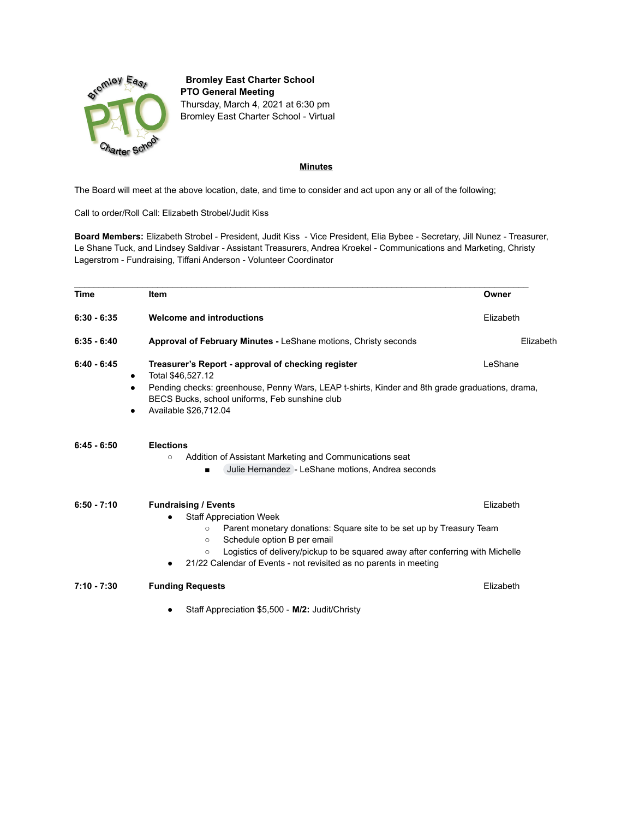

**Bromley East Charter School PTO General Meeting** Thursday, March 4, 2021 at 6:30 pm Bromley East Charter School - Virtual

## **Minutes**

The Board will meet at the above location, date, and time to consider and act upon any or all of the following;

Call to order/Roll Call: Elizabeth Strobel/Judit Kiss

**Board Members:** Elizabeth Strobel - President, Judit Kiss - Vice President, Elia Bybee - Secretary, Jill Nunez - Treasurer, Le Shane Tuck, and Lindsey Saldivar - Assistant Treasurers, Andrea Kroekel - Communications and Marketing, Christy Lagerstrom - Fundraising, Tiffani Anderson - Volunteer Coordinator

| <b>Time</b>                          | <b>Item</b>                                                                                                                                                                                                                                                                                                                                                  | Owner     |  |  |
|--------------------------------------|--------------------------------------------------------------------------------------------------------------------------------------------------------------------------------------------------------------------------------------------------------------------------------------------------------------------------------------------------------------|-----------|--|--|
| $6:30 - 6:35$                        | <b>Welcome and introductions</b>                                                                                                                                                                                                                                                                                                                             | Elizabeth |  |  |
| $6:35 - 6:40$                        | <b>Approval of February Minutes - LeShane motions, Christy seconds</b>                                                                                                                                                                                                                                                                                       | Elizabeth |  |  |
| $6:40 - 6:45$<br>٠<br>$\bullet$<br>٠ | Treasurer's Report - approval of checking register<br>LeShane<br>Total \$46,527.12<br>Pending checks: greenhouse, Penny Wars, LEAP t-shirts, Kinder and 8th grade graduations, drama,<br>BECS Bucks, school uniforms, Feb sunshine club<br>Available \$26,712.04                                                                                             |           |  |  |
| $6:45 - 6:50$                        | <b>Elections</b><br>Addition of Assistant Marketing and Communications seat<br>$\circ$<br>Julie Hernandez - LeShane motions, Andrea seconds                                                                                                                                                                                                                  |           |  |  |
| $6:50 - 7:10$                        | <b>Fundraising / Events</b><br><b>Staff Appreciation Week</b><br>Parent monetary donations: Square site to be set up by Treasury Team<br>$\circ$<br>Schedule option B per email<br>$\circ$<br>Logistics of delivery/pickup to be squared away after conferring with Michelle<br>$\circ$<br>21/22 Calendar of Events - not revisited as no parents in meeting | Elizabeth |  |  |
| $7:10 - 7:30$                        | <b>Funding Requests</b><br>Staff Appreciation \$5,500 - M/2: Judit/Christy                                                                                                                                                                                                                                                                                   | Elizabeth |  |  |